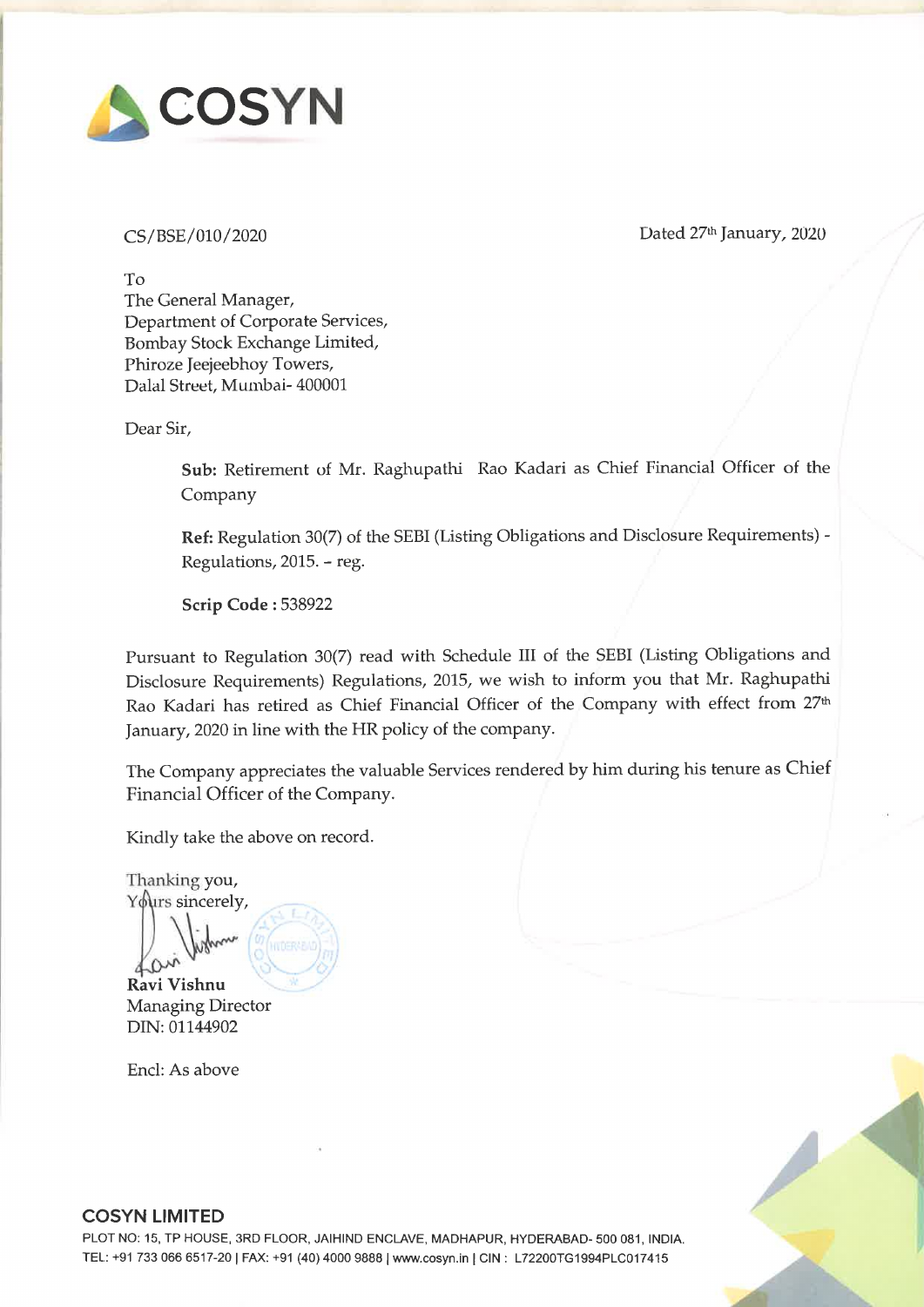

CS/BSE/010/2020 Dated 27% January, 2020

To The General Manager, Department of Corporate Services, Bombay Stock Exchange Limited, Phiroze Jeejeebhoy Towers, Dalal Street, Mumbai- 400001

Dear Sir,

Sub: Retirement of Mr. Raghupathi Rao Kadari as Chief Financial Officer of the Company

Ref: Regulation 30(7) of the SEBI (Listing Obligations and Disclosure Requirements) - Regulations, 2015. - reg.

Scrip Code : 538922

Pursuant to Regulation 30(7) read with Schedule III of the SEBI (Listing Obligations and Disclosure Requirements) Regulations, 2015, we wish to inform you that Mr. Raghupathi Rao Kadari has retired as Chief Financial Officer of the Company with effect from 27% January, 2020 in line with the HR policy of the company.

The Company appreciates the valuable Services rendered by him during his tenure as Chief Financial Officer of the Company.

Kindly take the above on record.

Thanking you, Yours sincerely,

Ravi Vishnu Managing Director DIN: 01144902

 $\mathcal{N}_{\text{upper}}$ 

Encl: As above



## COSYN LIMITED

PLOT NO: 15, TP HOUSE, 3RD FLOOR, JAIHIND ENCLAVE, MADHAPUR, HYDERABAD- 500 081, INDIA. TEL: +91 733 066 6517-20 | FAX: +91 (40) 4000 9888 | www.cosyn.in | CIN : L72200TG1994PLC017415